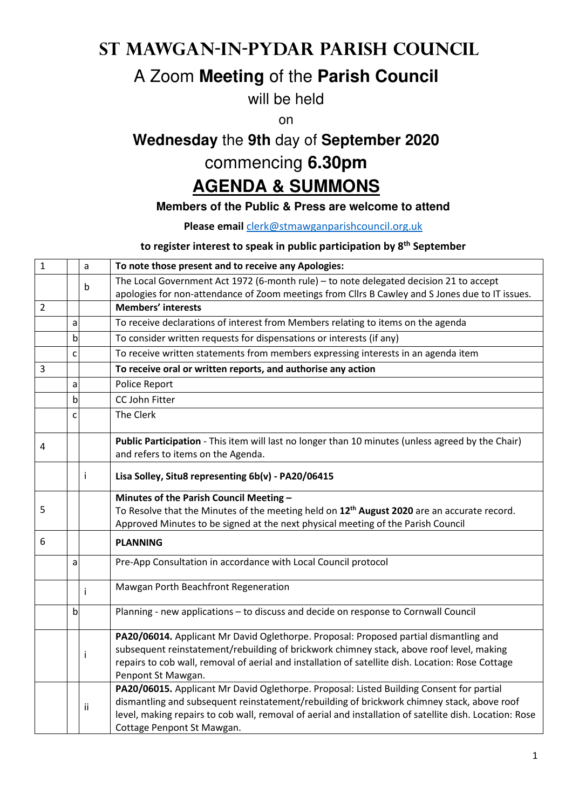## **St Mawgan-in-Pydar Parish Council**

### A Zoom **Meeting** of the **Parish Council**

will be held

on

# **Wednesday** the **9th** day of **September 2020**

## commencing **6.30pm**

#### **AGENDA & SUMMONS**

#### **Members of the Public & Press are welcome to attend**

**Please email** clerk@stmawganparishcouncil.org.uk

#### **to register interest to speak in public participation by 8th September**

| $\mathbf{1}$   |              | a  | To note those present and to receive any Apologies:                                                                                     |
|----------------|--------------|----|-----------------------------------------------------------------------------------------------------------------------------------------|
|                |              | b  | The Local Government Act 1972 (6-month rule) - to note delegated decision 21 to accept                                                  |
|                |              |    | apologies for non-attendance of Zoom meetings from ClIrs B Cawley and S Jones due to IT issues.                                         |
| $\overline{2}$ |              |    | <b>Members' interests</b>                                                                                                               |
|                | a            |    | To receive declarations of interest from Members relating to items on the agenda                                                        |
|                | $\mathsf b$  |    | To consider written requests for dispensations or interests (if any)                                                                    |
|                | $\mathsf{C}$ |    | To receive written statements from members expressing interests in an agenda item                                                       |
| 3              |              |    | To receive oral or written reports, and authorise any action                                                                            |
|                | a            |    | Police Report                                                                                                                           |
|                | $\mathsf b$  |    | CC John Fitter                                                                                                                          |
|                | C            |    | The Clerk                                                                                                                               |
| 4              |              |    | Public Participation - This item will last no longer than 10 minutes (unless agreed by the Chair)<br>and refers to items on the Agenda. |
|                |              | j. | Lisa Solley, Situ8 representing 6b(v) - PA20/06415                                                                                      |
|                |              |    | Minutes of the Parish Council Meeting -                                                                                                 |
| 5              |              |    | To Resolve that the Minutes of the meeting held on 12 <sup>th</sup> August 2020 are an accurate record.                                 |
|                |              |    | Approved Minutes to be signed at the next physical meeting of the Parish Council                                                        |
| 6              |              |    | <b>PLANNING</b>                                                                                                                         |
|                | a            |    | Pre-App Consultation in accordance with Local Council protocol                                                                          |
|                |              | j. | Mawgan Porth Beachfront Regeneration                                                                                                    |
|                | b            |    | Planning - new applications - to discuss and decide on response to Cornwall Council                                                     |
|                |              |    | PA20/06014. Applicant Mr David Oglethorpe. Proposal: Proposed partial dismantling and                                                   |
|                |              | Ť  | subsequent reinstatement/rebuilding of brickwork chimney stack, above roof level, making                                                |
|                |              |    | repairs to cob wall, removal of aerial and installation of satellite dish. Location: Rose Cottage<br>Penpont St Mawgan.                 |
|                |              |    | PA20/06015. Applicant Mr David Oglethorpe. Proposal: Listed Building Consent for partial                                                |
|                |              | ii | dismantling and subsequent reinstatement/rebuilding of brickwork chimney stack, above roof                                              |
|                |              |    | level, making repairs to cob wall, removal of aerial and installation of satellite dish. Location: Rose                                 |
|                |              |    | Cottage Penpont St Mawgan.                                                                                                              |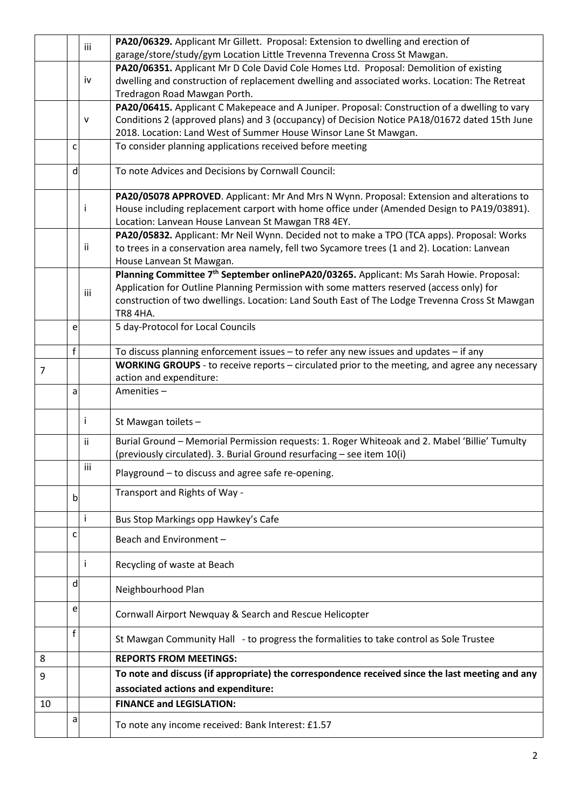|                |              | iii          | PA20/06329. Applicant Mr Gillett. Proposal: Extension to dwelling and erection of                                               |
|----------------|--------------|--------------|---------------------------------------------------------------------------------------------------------------------------------|
|                |              |              | garage/store/study/gym Location Little Trevenna Trevenna Cross St Mawgan.                                                       |
|                |              |              | PA20/06351. Applicant Mr D Cole David Cole Homes Ltd. Proposal: Demolition of existing                                          |
|                |              | iv           | dwelling and construction of replacement dwelling and associated works. Location: The Retreat                                   |
|                |              |              | Tredragon Road Mawgan Porth.                                                                                                    |
|                |              |              | PA20/06415. Applicant C Makepeace and A Juniper. Proposal: Construction of a dwelling to vary                                   |
|                |              | $\mathsf{v}$ | Conditions 2 (approved plans) and 3 (occupancy) of Decision Notice PA18/01672 dated 15th June                                   |
|                |              |              | 2018. Location: Land West of Summer House Winsor Lane St Mawgan.                                                                |
|                | C            |              | To consider planning applications received before meeting                                                                       |
|                |              |              |                                                                                                                                 |
|                | d            |              | To note Advices and Decisions by Cornwall Council:                                                                              |
|                |              |              |                                                                                                                                 |
|                |              | Ť            | PA20/05078 APPROVED. Applicant: Mr And Mrs N Wynn. Proposal: Extension and alterations to                                       |
|                |              |              | House including replacement carport with home office under (Amended Design to PA19/03891).                                      |
|                |              |              | Location: Lanvean House Lanvean St Mawgan TR8 4EY.                                                                              |
|                |              | ii.          | PA20/05832. Applicant: Mr Neil Wynn. Decided not to make a TPO (TCA apps). Proposal: Works                                      |
|                |              |              | to trees in a conservation area namely, fell two Sycamore trees (1 and 2). Location: Lanvean                                    |
|                |              |              | House Lanvean St Mawgan.<br>Planning Committee 7 <sup>th</sup> September onlinePA20/03265. Applicant: Ms Sarah Howie. Proposal: |
|                |              |              | Application for Outline Planning Permission with some matters reserved (access only) for                                        |
|                |              | iii          | construction of two dwellings. Location: Land South East of The Lodge Trevenna Cross St Mawgan                                  |
|                |              |              | <b>TR8 4HA.</b>                                                                                                                 |
|                | e            |              | 5 day-Protocol for Local Councils                                                                                               |
|                |              |              |                                                                                                                                 |
|                | $\mathsf f$  |              | To discuss planning enforcement issues - to refer any new issues and updates - if any                                           |
|                |              |              | WORKING GROUPS - to receive reports - circulated prior to the meeting, and agree any necessary                                  |
| $\overline{7}$ |              |              | action and expenditure:                                                                                                         |
|                | a            |              | Amenities-                                                                                                                      |
|                |              |              |                                                                                                                                 |
|                |              | Ť            | St Mawgan toilets -                                                                                                             |
|                |              |              |                                                                                                                                 |
|                |              | ii.          | Burial Ground - Memorial Permission requests: 1. Roger Whiteoak and 2. Mabel 'Billie' Tumulty                                   |
|                |              |              | (previously circulated). 3. Burial Ground resurfacing - see item 10(i)                                                          |
|                |              | iii          | Playground - to discuss and agree safe re-opening.                                                                              |
|                |              |              | Transport and Rights of Way -                                                                                                   |
|                | $\mathsf{b}$ |              |                                                                                                                                 |
|                |              | $\mathbf{i}$ | Bus Stop Markings opp Hawkey's Cafe                                                                                             |
|                |              |              |                                                                                                                                 |
|                | c            |              | Beach and Environment-                                                                                                          |
|                |              |              |                                                                                                                                 |
|                |              | Ť            | Recycling of waste at Beach                                                                                                     |
|                | d            |              |                                                                                                                                 |
|                |              |              | Neighbourhood Plan                                                                                                              |
|                | e            |              | Cornwall Airport Newquay & Search and Rescue Helicopter                                                                         |
|                |              |              |                                                                                                                                 |
|                | f            |              | St Mawgan Community Hall - to progress the formalities to take control as Sole Trustee                                          |
|                |              |              |                                                                                                                                 |
| 8              |              |              | <b>REPORTS FROM MEETINGS:</b>                                                                                                   |
| 9              |              |              | To note and discuss (if appropriate) the correspondence received since the last meeting and any                                 |
|                |              |              | associated actions and expenditure:                                                                                             |
| 10             |              |              | <b>FINANCE and LEGISLATION:</b>                                                                                                 |
|                | a            |              |                                                                                                                                 |
|                |              |              | To note any income received: Bank Interest: £1.57                                                                               |